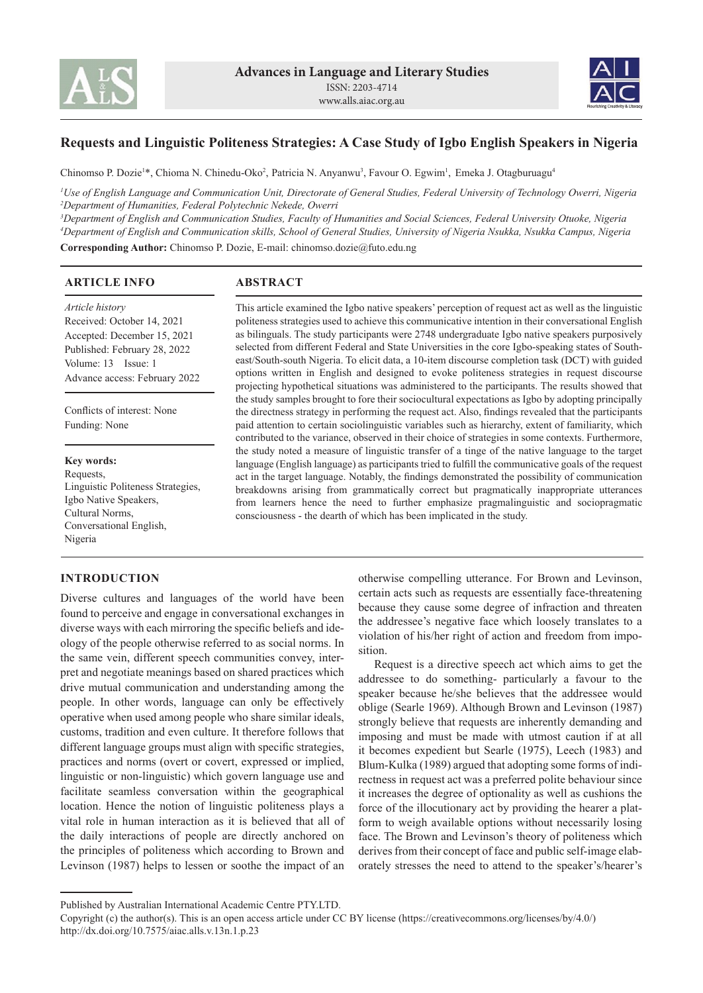



# **Requests and Linguistic Politeness Strategies: A Case Study of Igbo English Speakers in Nigeria**

Chinomso P. Dozie<sup>1\*</sup>, Chioma N. Chinedu-Oko<sup>2</sup>, Patricia N. Anyanwu<sup>3</sup>, Favour O. Egwim<sup>1</sup>, Emeka J. Otagburuagu<sup>4</sup>

*1 Use of English Language and Communication Unit, Directorate of General Studies, Federal University of Technology Owerri, Nigeria 2 Department of Humanities, Federal Polytechnic Nekede, Owerri*

*3 Department of English and Communication Studies, Faculty of Humanities and Social Sciences, Federal University Otuoke, Nigeria 4 Department of English and Communication skills, School of General Studies, University of Nigeria Nsukka, Nsukka Campus, Nigeria* **Corresponding Author:** Chinomso P. Dozie, E-mail: chinomso.dozie@futo.edu.ng

## **ARTICLE INFO**

*Article history* Received: October 14, 2021 Accepted: December 15, 2021 Published: February 28, 2022 Volume: 13 Issue: 1 Advance access: February 2022

Conflicts of interest: None Funding: None

**Key words:** Requests, Linguistic Politeness Strategies, Igbo Native Speakers, Cultural Norms, Conversational English, Nigeria

## **INTRODUCTION**

## **ABSTRACT**

This article examined the Igbo native speakers' perception of request act as well as the linguistic politeness strategies used to achieve this communicative intention in their conversational English as bilinguals. The study participants were 2748 undergraduate Igbo native speakers purposively selected from different Federal and State Universities in the core Igbo-speaking states of Southeast/South-south Nigeria. To elicit data, a 10-item discourse completion task (DCT) with guided options written in English and designed to evoke politeness strategies in request discourse projecting hypothetical situations was administered to the participants. The results showed that the study samples brought to fore their sociocultural expectations as Igbo by adopting principally the directness strategy in performing the request act. Also, findings revealed that the participants paid attention to certain sociolinguistic variables such as hierarchy, extent of familiarity, which contributed to the variance, observed in their choice of strategies in some contexts. Furthermore, the study noted a measure of linguistic transfer of a tinge of the native language to the target language (English language) as participants tried to fulfill the communicative goals of the request act in the target language. Notably, the findings demonstrated the possibility of communication breakdowns arising from grammatically correct but pragmatically inappropriate utterances from learners hence the need to further emphasize pragmalinguistic and sociopragmatic consciousness - the dearth of which has been implicated in the study.

Diverse cultures and languages of the world have been found to perceive and engage in conversational exchanges in diverse ways with each mirroring the specific beliefs and ideology of the people otherwise referred to as social norms. In the same vein, different speech communities convey, interpret and negotiate meanings based on shared practices which drive mutual communication and understanding among the people. In other words, language can only be effectively operative when used among people who share similar ideals, customs, tradition and even culture. It therefore follows that different language groups must align with specific strategies, practices and norms (overt or covert, expressed or implied, linguistic or non-linguistic) which govern language use and facilitate seamless conversation within the geographical location. Hence the notion of linguistic politeness plays a vital role in human interaction as it is believed that all of the daily interactions of people are directly anchored on the principles of politeness which according to Brown and Levinson (1987) helps to lessen or soothe the impact of an otherwise compelling utterance. For Brown and Levinson, certain acts such as requests are essentially face-threatening because they cause some degree of infraction and threaten the addressee's negative face which loosely translates to a violation of his/her right of action and freedom from imposition.

Request is a directive speech act which aims to get the addressee to do something- particularly a favour to the speaker because he/she believes that the addressee would oblige (Searle 1969). Although Brown and Levinson (1987) strongly believe that requests are inherently demanding and imposing and must be made with utmost caution if at all it becomes expedient but Searle (1975), Leech (1983) and Blum-Kulka (1989) argued that adopting some forms of indirectness in request act was a preferred polite behaviour since it increases the degree of optionality as well as cushions the force of the illocutionary act by providing the hearer a platform to weigh available options without necessarily losing face. The Brown and Levinson's theory of politeness which derives from their concept of face and public self-image elaborately stresses the need to attend to the speaker's/hearer's

Published by Australian International Academic Centre PTY.LTD.

Copyright (c) the author(s). This is an open access article under CC BY license (https://creativecommons.org/licenses/by/4.0/) http://dx.doi.org/10.7575/aiac.alls.v.13n.1.p.23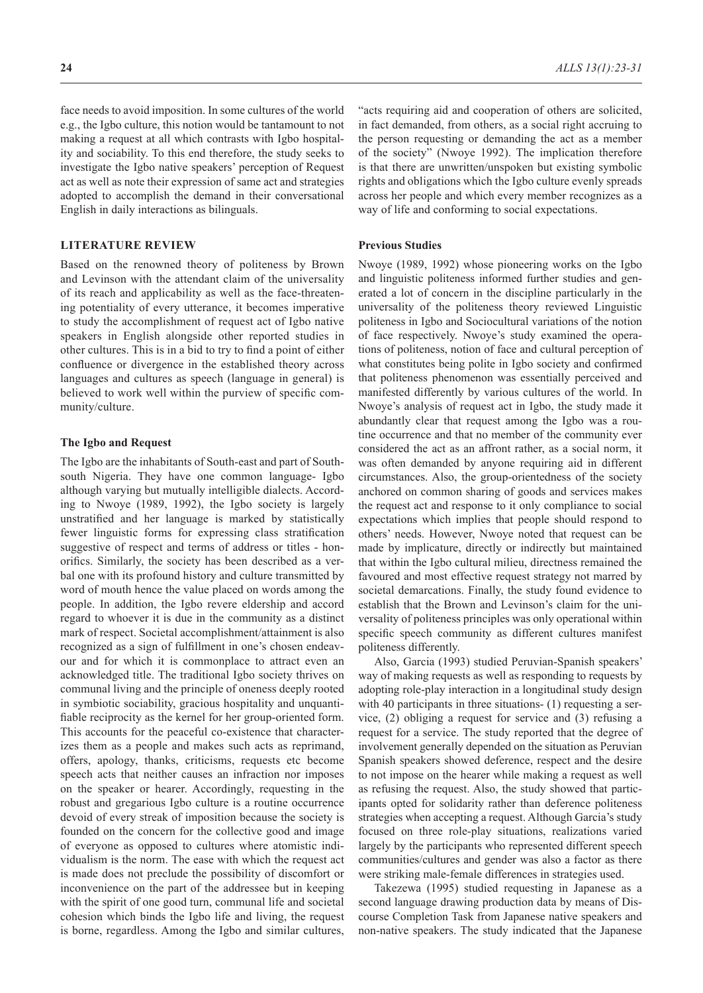face needs to avoid imposition. In some cultures of the world e.g., the Igbo culture, this notion would be tantamount to not making a request at all which contrasts with Igbo hospitality and sociability. To this end therefore, the study seeks to investigate the Igbo native speakers' perception of Request act as well as note their expression of same act and strategies adopted to accomplish the demand in their conversational English in daily interactions as bilinguals.

#### **LITERATURE REVIEW**

Based on the renowned theory of politeness by Brown and Levinson with the attendant claim of the universality of its reach and applicability as well as the face-threatening potentiality of every utterance, it becomes imperative to study the accomplishment of request act of Igbo native speakers in English alongside other reported studies in other cultures. This is in a bid to try to find a point of either confluence or divergence in the established theory across languages and cultures as speech (language in general) is believed to work well within the purview of specific community/culture.

### **The Igbo and Request**

The Igbo are the inhabitants of South-east and part of Southsouth Nigeria. They have one common language- Igbo although varying but mutually intelligible dialects. According to Nwoye (1989, 1992), the Igbo society is largely unstratified and her language is marked by statistically fewer linguistic forms for expressing class stratification suggestive of respect and terms of address or titles - honorifics. Similarly, the society has been described as a verbal one with its profound history and culture transmitted by word of mouth hence the value placed on words among the people. In addition, the Igbo revere eldership and accord regard to whoever it is due in the community as a distinct mark of respect. Societal accomplishment/attainment is also recognized as a sign of fulfillment in one's chosen endeavour and for which it is commonplace to attract even an acknowledged title. The traditional Igbo society thrives on communal living and the principle of oneness deeply rooted in symbiotic sociability, gracious hospitality and unquantifiable reciprocity as the kernel for her group-oriented form. This accounts for the peaceful co-existence that characterizes them as a people and makes such acts as reprimand, offers, apology, thanks, criticisms, requests etc become speech acts that neither causes an infraction nor imposes on the speaker or hearer. Accordingly, requesting in the robust and gregarious Igbo culture is a routine occurrence devoid of every streak of imposition because the society is founded on the concern for the collective good and image of everyone as opposed to cultures where atomistic individualism is the norm. The ease with which the request act is made does not preclude the possibility of discomfort or inconvenience on the part of the addressee but in keeping with the spirit of one good turn, communal life and societal cohesion which binds the Igbo life and living, the request is borne, regardless. Among the Igbo and similar cultures,

"acts requiring aid and cooperation of others are solicited, in fact demanded, from others, as a social right accruing to the person requesting or demanding the act as a member of the society" (Nwoye 1992). The implication therefore is that there are unwritten/unspoken but existing symbolic rights and obligations which the Igbo culture evenly spreads across her people and which every member recognizes as a way of life and conforming to social expectations.

### **Previous Studies**

Nwoye (1989, 1992) whose pioneering works on the Igbo and linguistic politeness informed further studies and generated a lot of concern in the discipline particularly in the universality of the politeness theory reviewed Linguistic politeness in Igbo and Sociocultural variations of the notion of face respectively. Nwoye's study examined the operations of politeness, notion of face and cultural perception of what constitutes being polite in Igbo society and confirmed that politeness phenomenon was essentially perceived and manifested differently by various cultures of the world. In Nwoye's analysis of request act in Igbo, the study made it abundantly clear that request among the Igbo was a routine occurrence and that no member of the community ever considered the act as an affront rather, as a social norm, it was often demanded by anyone requiring aid in different circumstances. Also, the group-orientedness of the society anchored on common sharing of goods and services makes the request act and response to it only compliance to social expectations which implies that people should respond to others' needs. However, Nwoye noted that request can be made by implicature, directly or indirectly but maintained that within the Igbo cultural milieu, directness remained the favoured and most effective request strategy not marred by societal demarcations. Finally, the study found evidence to establish that the Brown and Levinson's claim for the universality of politeness principles was only operational within specific speech community as different cultures manifest politeness differently.

Also, Garcia (1993) studied Peruvian-Spanish speakers' way of making requests as well as responding to requests by adopting role-play interaction in a longitudinal study design with 40 participants in three situations- (1) requesting a service, (2) obliging a request for service and (3) refusing a request for a service. The study reported that the degree of involvement generally depended on the situation as Peruvian Spanish speakers showed deference, respect and the desire to not impose on the hearer while making a request as well as refusing the request. Also, the study showed that participants opted for solidarity rather than deference politeness strategies when accepting a request. Although Garcia's study focused on three role-play situations, realizations varied largely by the participants who represented different speech communities/cultures and gender was also a factor as there were striking male-female differences in strategies used.

Takezewa (1995) studied requesting in Japanese as a second language drawing production data by means of Discourse Completion Task from Japanese native speakers and non-native speakers. The study indicated that the Japanese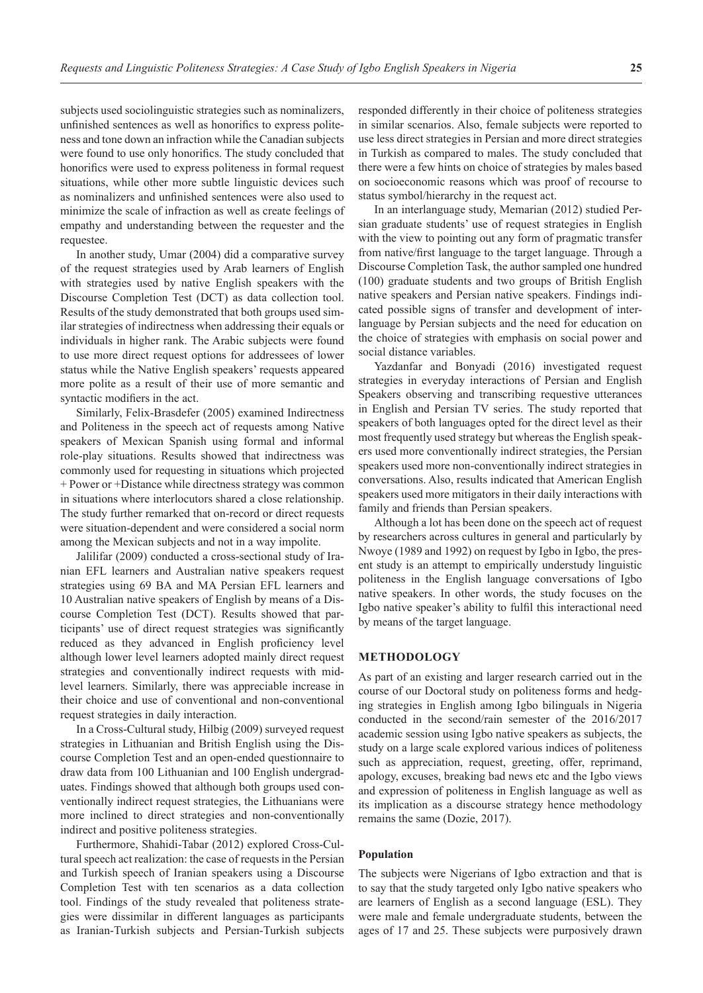subjects used sociolinguistic strategies such as nominalizers, unfinished sentences as well as honorifics to express politeness and tone down an infraction while the Canadian subjects were found to use only honorifics. The study concluded that honorifics were used to express politeness in formal request situations, while other more subtle linguistic devices such as nominalizers and unfinished sentences were also used to minimize the scale of infraction as well as create feelings of empathy and understanding between the requester and the requestee.

In another study, Umar (2004) did a comparative survey of the request strategies used by Arab learners of English with strategies used by native English speakers with the Discourse Completion Test (DCT) as data collection tool. Results of the study demonstrated that both groups used similar strategies of indirectness when addressing their equals or individuals in higher rank. The Arabic subjects were found to use more direct request options for addressees of lower status while the Native English speakers' requests appeared more polite as a result of their use of more semantic and syntactic modifiers in the act.

Similarly, Felix-Brasdefer (2005) examined Indirectness and Politeness in the speech act of requests among Native speakers of Mexican Spanish using formal and informal role-play situations. Results showed that indirectness was commonly used for requesting in situations which projected + Power or +Distance while directness strategy was common in situations where interlocutors shared a close relationship. The study further remarked that on-record or direct requests were situation-dependent and were considered a social norm among the Mexican subjects and not in a way impolite.

Jalilifar (2009) conducted a cross-sectional study of Iranian EFL learners and Australian native speakers request strategies using 69 BA and MA Persian EFL learners and 10 Australian native speakers of English by means of a Discourse Completion Test (DCT). Results showed that participants' use of direct request strategies was significantly reduced as they advanced in English proficiency level although lower level learners adopted mainly direct request strategies and conventionally indirect requests with midlevel learners. Similarly, there was appreciable increase in their choice and use of conventional and non-conventional request strategies in daily interaction.

In a Cross-Cultural study, Hilbig (2009) surveyed request strategies in Lithuanian and British English using the Discourse Completion Test and an open-ended questionnaire to draw data from 100 Lithuanian and 100 English undergraduates. Findings showed that although both groups used conventionally indirect request strategies, the Lithuanians were more inclined to direct strategies and non-conventionally indirect and positive politeness strategies.

Furthermore, Shahidi-Tabar (2012) explored Cross-Cultural speech act realization: the case of requests in the Persian and Turkish speech of Iranian speakers using a Discourse Completion Test with ten scenarios as a data collection tool. Findings of the study revealed that politeness strategies were dissimilar in different languages as participants as Iranian-Turkish subjects and Persian-Turkish subjects

responded differently in their choice of politeness strategies in similar scenarios. Also, female subjects were reported to use less direct strategies in Persian and more direct strategies in Turkish as compared to males. The study concluded that there were a few hints on choice of strategies by males based on socioeconomic reasons which was proof of recourse to status symbol/hierarchy in the request act.

In an interlanguage study, Memarian (2012) studied Persian graduate students' use of request strategies in English with the view to pointing out any form of pragmatic transfer from native/first language to the target language. Through a Discourse Completion Task, the author sampled one hundred (100) graduate students and two groups of British English native speakers and Persian native speakers. Findings indicated possible signs of transfer and development of interlanguage by Persian subjects and the need for education on the choice of strategies with emphasis on social power and social distance variables.

Yazdanfar and Bonyadi (2016) investigated request strategies in everyday interactions of Persian and English Speakers observing and transcribing requestive utterances in English and Persian TV series. The study reported that speakers of both languages opted for the direct level as their most frequently used strategy but whereas the English speakers used more conventionally indirect strategies, the Persian speakers used more non-conventionally indirect strategies in conversations. Also, results indicated that American English speakers used more mitigators in their daily interactions with family and friends than Persian speakers.

Although a lot has been done on the speech act of request by researchers across cultures in general and particularly by Nwoye (1989 and 1992) on request by Igbo in Igbo, the present study is an attempt to empirically understudy linguistic politeness in the English language conversations of Igbo native speakers. In other words, the study focuses on the Igbo native speaker's ability to fulfil this interactional need by means of the target language.

#### **METHODOLOGY**

As part of an existing and larger research carried out in the course of our Doctoral study on politeness forms and hedging strategies in English among Igbo bilinguals in Nigeria conducted in the second/rain semester of the 2016/2017 academic session using Igbo native speakers as subjects, the study on a large scale explored various indices of politeness such as appreciation, request, greeting, offer, reprimand, apology, excuses, breaking bad news etc and the Igbo views and expression of politeness in English language as well as its implication as a discourse strategy hence methodology remains the same (Dozie, 2017).

## **Population**

The subjects were Nigerians of Igbo extraction and that is to say that the study targeted only Igbo native speakers who are learners of English as a second language (ESL). They were male and female undergraduate students, between the ages of 17 and 25. These subjects were purposively drawn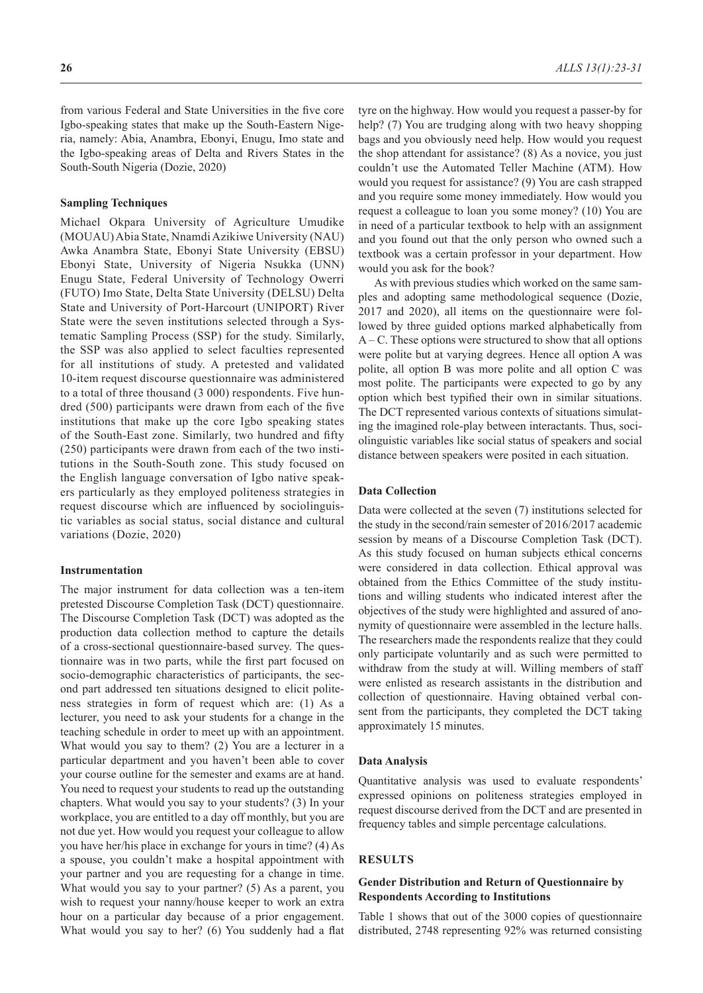from various Federal and State Universities in the five core Igbo-speaking states that make up the South-Eastern Nigeria, namely: Abia, Anambra, Ebonyi, Enugu, Imo state and the Igbo-speaking areas of Delta and Rivers States in the South-South Nigeria (Dozie, 2020)

#### **Sampling Techniques**

Michael Okpara University of Agriculture Umudike (MOUAU) Abia State, Nnamdi Azikiwe University (NAU) Awka Anambra State, Ebonyi State University (EBSU) Ebonyi State, University of Nigeria Nsukka (UNN) Enugu State, Federal University of Technology Owerri (FUTO) Imo State, Delta State University (DELSU) Delta State and University of Port-Harcourt (UNIPORT) River State were the seven institutions selected through a Systematic Sampling Process (SSP) for the study. Similarly, the SSP was also applied to select faculties represented for all institutions of study. A pretested and validated 10-item request discourse questionnaire was administered to a total of three thousand (3 000) respondents. Five hundred (500) participants were drawn from each of the five institutions that make up the core Igbo speaking states of the South-East zone. Similarly, two hundred and fifty (250) participants were drawn from each of the two institutions in the South-South zone. This study focused on the English language conversation of Igbo native speakers particularly as they employed politeness strategies in request discourse which are influenced by sociolinguistic variables as social status, social distance and cultural variations (Dozie, 2020)

#### **Instrumentation**

The major instrument for data collection was a ten-item pretested Discourse Completion Task (DCT) questionnaire. The Discourse Completion Task (DCT) was adopted as the production data collection method to capture the details of a cross-sectional questionnaire-based survey. The questionnaire was in two parts, while the first part focused on socio-demographic characteristics of participants, the second part addressed ten situations designed to elicit politeness strategies in form of request which are: (1) As a lecturer, you need to ask your students for a change in the teaching schedule in order to meet up with an appointment. What would you say to them? (2) You are a lecturer in a particular department and you haven't been able to cover your course outline for the semester and exams are at hand. You need to request your students to read up the outstanding chapters. What would you say to your students? (3) In your workplace, you are entitled to a day off monthly, but you are not due yet. How would you request your colleague to allow you have her/his place in exchange for yours in time? (4) As a spouse, you couldn't make a hospital appointment with your partner and you are requesting for a change in time. What would you say to your partner? (5) As a parent, you wish to request your nanny/house keeper to work an extra hour on a particular day because of a prior engagement. What would you say to her? (6) You suddenly had a flat

tyre on the highway. How would you request a passer-by for help? (7) You are trudging along with two heavy shopping bags and you obviously need help. How would you request the shop attendant for assistance? (8) As a novice, you just couldn't use the Automated Teller Machine (ATM). How would you request for assistance? (9) You are cash strapped and you require some money immediately. How would you request a colleague to loan you some money? (10) You are in need of a particular textbook to help with an assignment and you found out that the only person who owned such a textbook was a certain professor in your department. How would you ask for the book?

As with previous studies which worked on the same samples and adopting same methodological sequence (Dozie, 2017 and 2020), all items on the questionnaire were followed by three guided options marked alphabetically from A – C. These options were structured to show that all options were polite but at varying degrees. Hence all option A was polite, all option B was more polite and all option C was most polite. The participants were expected to go by any option which best typified their own in similar situations. The DCT represented various contexts of situations simulating the imagined role-play between interactants. Thus, sociolinguistic variables like social status of speakers and social distance between speakers were posited in each situation.

#### **Data Collection**

Data were collected at the seven (7) institutions selected for the study in the second/rain semester of 2016/2017 academic session by means of a Discourse Completion Task (DCT). As this study focused on human subjects ethical concerns were considered in data collection. Ethical approval was obtained from the Ethics Committee of the study institutions and willing students who indicated interest after the objectives of the study were highlighted and assured of anonymity of questionnaire were assembled in the lecture halls. The researchers made the respondents realize that they could only participate voluntarily and as such were permitted to withdraw from the study at will. Willing members of staff were enlisted as research assistants in the distribution and collection of questionnaire. Having obtained verbal consent from the participants, they completed the DCT taking approximately 15 minutes.

#### **Data Analysis**

Quantitative analysis was used to evaluate respondents' expressed opinions on politeness strategies employed in request discourse derived from the DCT and are presented in frequency tables and simple percentage calculations.

#### **RESULTS**

## **Gender Distribution and Return of Questionnaire by Respondents According to Institutions**

Table 1 shows that out of the 3000 copies of questionnaire distributed, 2748 representing 92% was returned consisting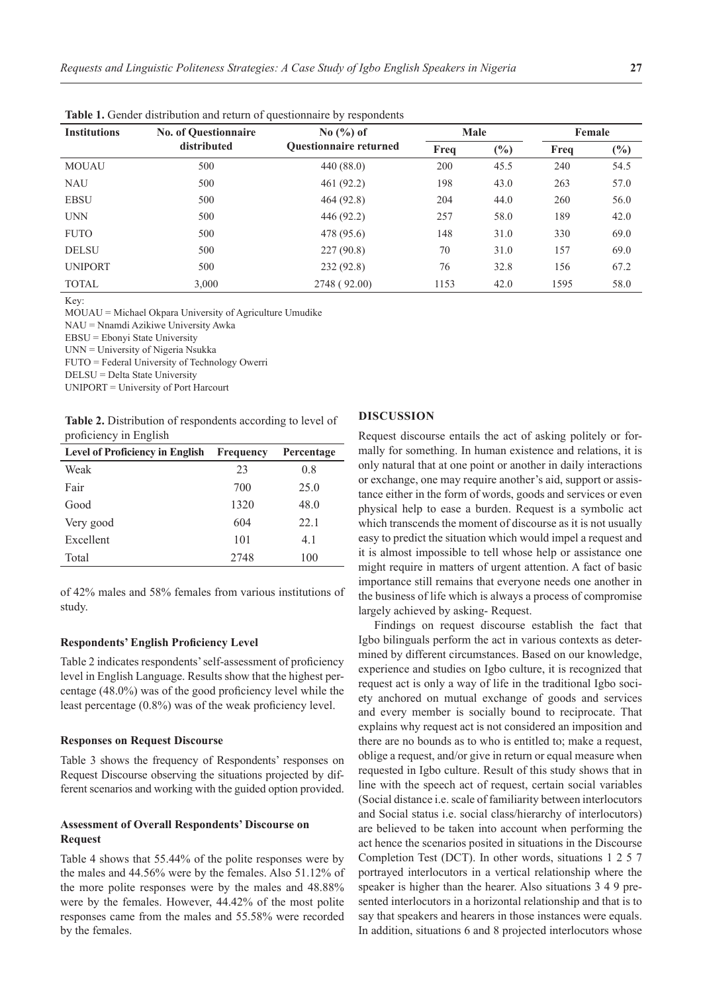| <b>Institutions</b> | <b>No. of Questionnaire</b> | No(%) of                      |      | <b>Male</b> | Female |        |
|---------------------|-----------------------------|-------------------------------|------|-------------|--------|--------|
|                     | distributed                 | <b>Ouestionnaire returned</b> | Freq | (%)         | Freq   | $(\%)$ |
| <b>MOUAU</b>        | 500                         | 440 (88.0)                    | 200  | 45.5        | 240    | 54.5   |
| <b>NAU</b>          | 500                         | 461 (92.2)                    | 198  | 43.0        | 263    | 57.0   |
| <b>EBSU</b>         | 500                         | 464 (92.8)                    | 204  | 44.0        | 260    | 56.0   |
| <b>UNN</b>          | 500                         | 446 (92.2)                    | 257  | 58.0        | 189    | 42.0   |
| <b>FUTO</b>         | 500                         | 478 (95.6)                    | 148  | 31.0        | 330    | 69.0   |
| <b>DELSU</b>        | 500                         | 227(90.8)                     | 70   | 31.0        | 157    | 69.0   |
| <b>UNIPORT</b>      | 500                         | 232 (92.8)                    | 76   | 32.8        | 156    | 67.2   |
| <b>TOTAL</b>        | 3,000                       | 2748 (92.00)                  | 1153 | 42.0        | 1595   | 58.0   |

**Table 1.** Gender distribution and return of questionnaire by respondents

Key:

MOUAU = Michael Okpara University of Agriculture Umudike

NAU = Nnamdi Azikiwe University Awka

EBSU = Ebonyi State University

UNN = University of Nigeria Nsukka

FUTO = Federal University of Technology Owerri

DELSU = Delta State University

UNIPORT = University of Port Harcourt

**Table 2.** Distribution of respondents according to level of proficiency in English

| <b>Level of Proficiency in English</b> | <b>Frequency</b> | Percentage |
|----------------------------------------|------------------|------------|
| Weak                                   | 23               | 0.8        |
| Fair                                   | 700              | 25.0       |
| Good                                   | 1320             | 48.0       |
| Very good                              | 604              | 22.1       |
| Excellent                              | 101              | 4.1        |
| Total                                  | 2748             | 100        |

of 42% males and 58% females from various institutions of study.

## **Respondents' English Proficiency Level**

Table 2 indicates respondents' self-assessment of proficiency level in English Language. Results show that the highest percentage (48.0%) was of the good proficiency level while the least percentage (0.8%) was of the weak proficiency level.

#### **Responses on Request Discourse**

Table 3 shows the frequency of Respondents' responses on Request Discourse observing the situations projected by different scenarios and working with the guided option provided.

## **Assessment of Overall Respondents' Discourse on Request**

Table 4 shows that 55.44% of the polite responses were by the males and 44.56% were by the females. Also 51.12% of the more polite responses were by the males and 48.88% were by the females. However, 44.42% of the most polite responses came from the males and 55.58% were recorded by the females.

#### **DISCUSSION**

Request discourse entails the act of asking politely or formally for something. In human existence and relations, it is only natural that at one point or another in daily interactions or exchange, one may require another's aid, support or assistance either in the form of words, goods and services or even physical help to ease a burden. Request is a symbolic act which transcends the moment of discourse as it is not usually easy to predict the situation which would impel a request and it is almost impossible to tell whose help or assistance one might require in matters of urgent attention. A fact of basic importance still remains that everyone needs one another in the business of life which is always a process of compromise largely achieved by asking- Request.

Findings on request discourse establish the fact that Igbo bilinguals perform the act in various contexts as determined by different circumstances. Based on our knowledge, experience and studies on Igbo culture, it is recognized that request act is only a way of life in the traditional Igbo society anchored on mutual exchange of goods and services and every member is socially bound to reciprocate. That explains why request act is not considered an imposition and there are no bounds as to who is entitled to; make a request, oblige a request, and/or give in return or equal measure when requested in Igbo culture. Result of this study shows that in line with the speech act of request, certain social variables (Social distance i.e. scale of familiarity between interlocutors and Social status i.e. social class/hierarchy of interlocutors) are believed to be taken into account when performing the act hence the scenarios posited in situations in the Discourse Completion Test (DCT). In other words, situations 1 2 5 7 portrayed interlocutors in a vertical relationship where the speaker is higher than the hearer. Also situations 3 4 9 presented interlocutors in a horizontal relationship and that is to say that speakers and hearers in those instances were equals. In addition, situations 6 and 8 projected interlocutors whose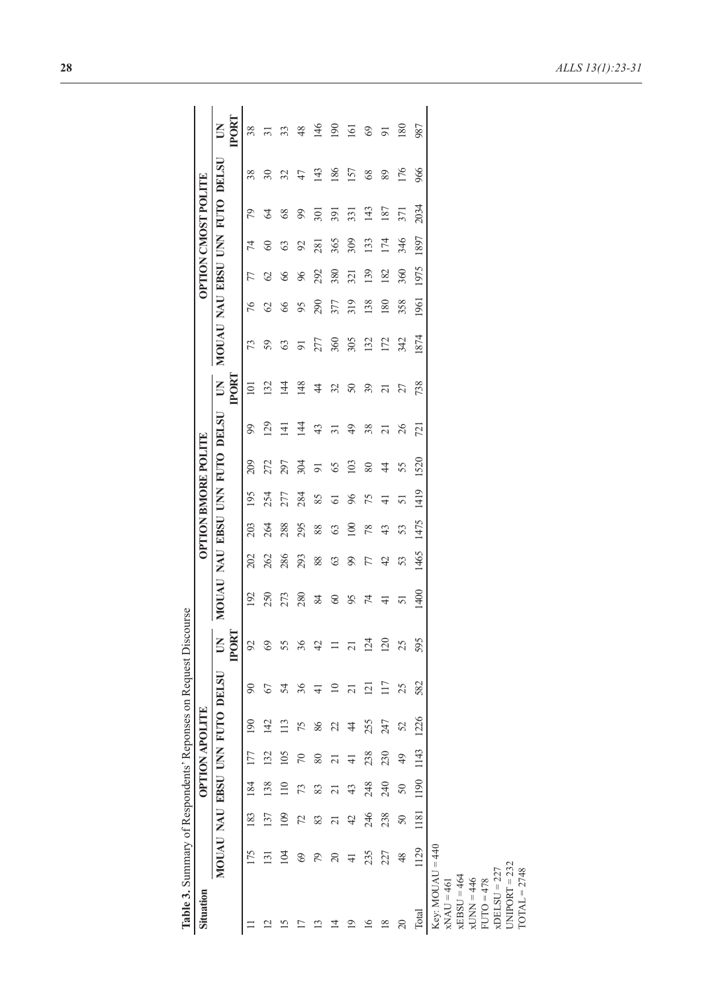| Situation                                                                                                                                         |                               |                     |                |                | OPTION APOLITE |                     |                              |                               |        |        |                 | <b>OPTION BMORE POLITE</b> |                 |                             |                               |               |               |                | OPTION CMOST POLITE |        |                              |
|---------------------------------------------------------------------------------------------------------------------------------------------------|-------------------------------|---------------------|----------------|----------------|----------------|---------------------|------------------------------|-------------------------------|--------|--------|-----------------|----------------------------|-----------------|-----------------------------|-------------------------------|---------------|---------------|----------------|---------------------|--------|------------------------------|
|                                                                                                                                                   | MOUAU NAU EBSU UNN FUTO DELSU |                     |                |                |                |                     | <b>IPORT</b><br>$\mathbb{E}$ | MOUAU NAU EBSU UNN FUTO DELSU |        |        |                 |                            |                 | <b>PORT</b><br>$\mathsf{K}$ | MOUAU NAU EBSU UNN FUTO DELSU |               |               |                |                     |        | <b>IPORT</b><br>$\mathbf{E}$ |
|                                                                                                                                                   | 175                           | 183                 | 184            | 177            | $^{190}$       | $\infty$            | 92                           | 192                           | 202    | 203    | 195             | 209                        | 99              | $\overline{101}$            | 73                            | 76            | 77            | $\overline{7}$ | 79                  | 38     | 38                           |
|                                                                                                                                                   | $\overline{5}$                | 137                 | 138            | 32             | 142            | 67                  | 3                            | 250                           | 262    | 264    | 254             | 272                        | $\overline{29}$ | 132                         | 59                            | $\mathcal{O}$ | $\mathcal{O}$ | 60             | $\mathcal{Z}$       | 30     | $\overline{5}$               |
|                                                                                                                                                   | 104                           | 109                 | $\Xi$          | 105            | $\Xi$          | 54                  | 55                           | 273                           | 286    | 288    | 277             | 297                        | $\overline{41}$ | $\overline{4}$              | 63                            | 66            | 66            | 63             | 68                  | 32     | 33                           |
|                                                                                                                                                   | $\circ$                       | 72                  | 73             | $\approx$      | 75             | 36                  | 36                           | 280                           | 293    | 295    | 284             | 304                        | $\overline{4}$  | 148                         | $\overline{9}$                | 95            | $96$          | $\mathcal{S}$  | 99                  | 47     | 48                           |
|                                                                                                                                                   | 79                            | 83                  | 83             | 80             | 86             |                     | 42                           | 84                            | $88\,$ | $88\,$ | 85              | $\overline{9}$             | 43              | $\ddot{4}$                  | 277                           | 290           | 292           | 281            | 301                 | 143    | 146                          |
|                                                                                                                                                   | $\Omega$                      | $\overline{\Omega}$ | $\overline{z}$ | $\overline{c}$ | $\mathcal{Z}$  | $\supseteq$         |                              | $60\,$                        | 63     | 63     | $\overline{61}$ | 65                         | $\overline{31}$ | 32                          | 360                           | 377           | 380           | 365            | 391                 | 186    | 190                          |
|                                                                                                                                                   | $\frac{4}{3}$                 | 42                  | 43             | ╤              | \$             | $\overline{\Omega}$ |                              | 95                            | 99     | 100    | 96              | 103                        | $\overline{49}$ | $\mathsf{S}0$               | 305                           | 319           | 321           | 309            | 331                 | 157    | 161                          |
|                                                                                                                                                   | 235                           | 246                 | 248            | 238            | 255            | $\overline{a}$      | $\vec{c}$                    | $\overline{7}$                | 77     | 78     | 75              | $80\,$                     | 38              | 39                          | 132                           | 138           | 139           | 133            | 143                 | $68\,$ | $\circledcirc$               |
|                                                                                                                                                   | 227                           | 238                 | 240            | 230            | 247            | Ξ                   | $\overline{20}$              | $\frac{1}{4}$                 | 42     | 43     | $\overline{+}$  | $\ddot{4}$                 | $\overline{c}$  | $\overline{c}$              | 172                           | 180           | 182           | 174            | 187                 | 89     | $\overline{9}$               |
|                                                                                                                                                   | $\frac{8}{3}$                 | $\mathcal{S}$       | 50             | $\overline{4}$ | 52             | 25                  | 25                           | 51                            | 53     | 53     | 51              | 55                         | $\frac{26}{5}$  | 27                          | 342                           | 358           | 360           | 346            | 371                 | 176    | 180                          |
| Iotal                                                                                                                                             | 1129                          | 1181                | 1190           | 1143           | 1226           | 582                 | 595                          | 1400                          | 1465   | 1475   | 1419            | 1520                       | <b>Z1</b>       | 738                         | 1874                          | 1961          | 1975          | 1897           | 2034                | 966    | 987                          |
| Kev: $MOUAU = 440$<br>$JNIPORT = 232$<br>$x$ DELSU = 227<br>$NOTAL = 2748$<br>$xEBSU = 464$<br>$\Delta$ LNN = 446<br>$FUTO = 478$<br>$xNAU = 461$ |                               |                     |                |                |                |                     |                              |                               |        |        |                 |                            |                 |                             |                               |               |               |                |                     |        |                              |
|                                                                                                                                                   |                               |                     |                |                |                |                     |                              |                               |        |        |                 |                            |                 |                             |                               |               |               |                |                     |        |                              |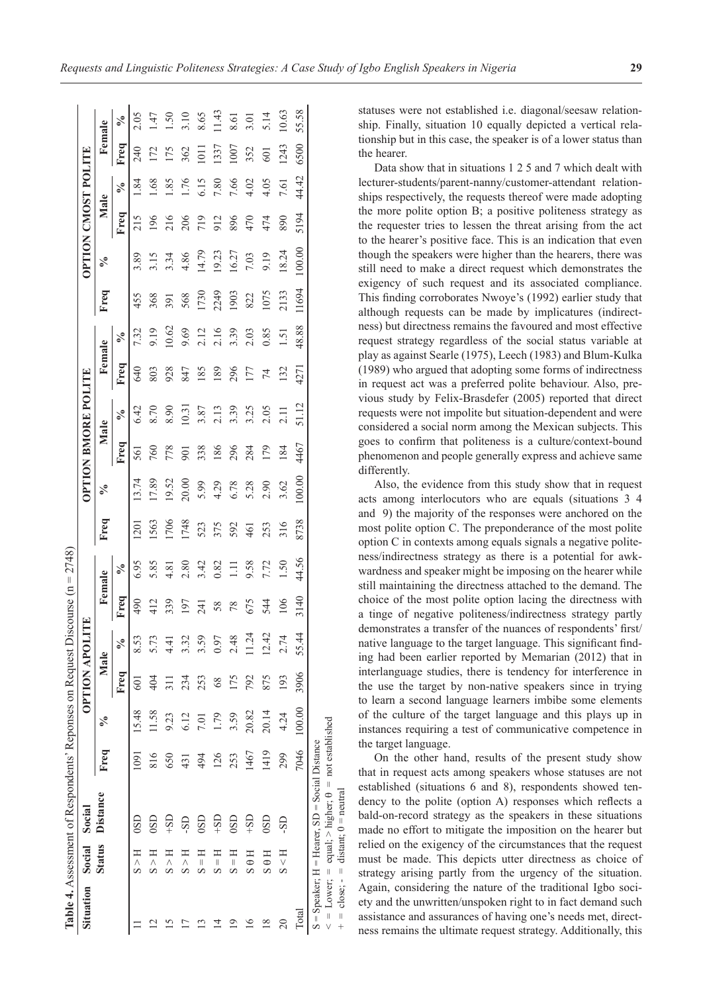|                  |                           | <b>Table 4.</b> Assessment of Respondents' Reponses on Request Discourse $(n = 2748)$                                                                   |               |                  |                     |       |                  |                         |      |        |      |                            |                |            |       |                     |      |                         |                |       |
|------------------|---------------------------|---------------------------------------------------------------------------------------------------------------------------------------------------------|---------------|------------------|---------------------|-------|------------------|-------------------------|------|--------|------|----------------------------|----------------|------------|-------|---------------------|------|-------------------------|----------------|-------|
| Situation Social |                           | Social                                                                                                                                                  |               |                  | <b>OPTION APOLI</b> | Ê     |                  |                         |      |        |      | <b>OPTION BMORE POLITE</b> |                |            |       | OPTION CMOST POLITE |      |                         |                |       |
|                  | <b>Status</b>             | Distance                                                                                                                                                | Freq          | $\frac{6}{9}$    | Male                |       | Female           |                         | Freq | వ్     |      | Male                       | Female         |            | Freq  | ళ                   | Male |                         | Female         |       |
|                  |                           |                                                                                                                                                         |               |                  | Freq                | ్     | Freq             | $\mathcal{S}_{\bullet}$ |      |        | Freq | ళ                          | Freq           | $\sqrt{6}$ |       |                     | Freq | $\mathcal{S}_{\bullet}$ | Freq           | ℅     |
|                  | $_{\rm S}$ $>$ H          | $\overline{0}$                                                                                                                                          | 1091          | 15.48            | <b>601</b>          | 8.53  | 490              | 6.95                    | 1201 | 13.74  | 561  | 6.42                       | 640            | 7.32       | 455   | 3.89                | 215  | 1.84                    | 240            | 2.05  |
| ٢                | $_{\rm S}$ $>$ H          | $\overline{0}$                                                                                                                                          | 816           | 11.58            | 404                 | 5.73  | 412              | 5.85                    | 1563 | 17.89  | 760  | 8.70                       | 803            | 9.19       | 368   | 3.15                | 196  | 1.68                    | 172            | 1.47  |
|                  | $_{\rm S}$ $>$ H          | $-SS$                                                                                                                                                   | 650           | 9.23             |                     | 4.41  | 339              | 4.81                    | 1706 | 19.52  | 778  | 8.90                       | 928            | 10.62      | 391   | 3.34                | 216  | 1.85                    | 175            | 1.50  |
|                  | $_{\rm H}$ $<$ S          | GS.                                                                                                                                                     | $\frac{1}{4}$ | 6.12             | 234                 | 3.32  | 197              | 2.80                    | 1748 | 20.00  | 901  | 10.31                      | 847            | 9.69       | 568   | 4.86                | 206  | 1.76                    | 362            | 3.10  |
|                  | $H = S$                   | 0S <sub>0</sub>                                                                                                                                         | 494           | $\overline{0.7}$ | 253                 | 3.59  | $\overline{241}$ | 3.42<br>0.82            | 523  | 5.99   | 338  | 3.87                       | 185            | 2.12       | 1730  | 14.79               | 719  | 6.15                    | $\overline{5}$ | 8.65  |
|                  | $H = S$                   | $\frac{1}{2}$                                                                                                                                           | 126           | <b>PL1</b>       | $\frac{8}{3}$       | 0.97  | 58               |                         | 375  | 4.29   | 186  | 2.13                       | 189            | 2.16       | 2249  | 19.23               | 912  | 7.80                    | 1337           | 11.43 |
|                  | $H = S$                   | OSD                                                                                                                                                     | 253           | 3.59             | 175                 | 2.48  | 78               | $\Xi$                   | 592  | 6.78   | 296  | 3.39                       | 296            | 3.39       | 1903  | 16.27               | 896  | 7.66                    | 1007           | 8.61  |
|                  | $H \theta S$              | $-SD$                                                                                                                                                   | 1467          | 20.82            | 792                 | 11.24 | 675              | 9.58                    | 461  | 5.28   | 284  | 3.25                       | 177            | 2.03       | 822   | 7.03                | 470  | 4.02                    | 352            | 3.01  |
| $\frac{8}{10}$   | $H \theta S$              | 0S <sub>D</sub>                                                                                                                                         | 1419          | 20.14            | 875                 | 12.42 | 544              | 7.72                    | 253  | 2.90   | 179  | 2.05                       | $\overline{7}$ | 0.85       | 1075  | 9.19                | 474  | 4.05                    | 601            | 5.14  |
| $\approx$        | $_{\rm H}$ $>$ $_{\rm S}$ | GS-                                                                                                                                                     | 299           | 4.24             | 193                 | 2.74  | 106              | 1.50                    | 316  | 3.62   | 184  | $\frac{1}{2}$              | 132            | 1.51       | 2133  | 18.24               | 890  | 7.61                    | 1243           | 10.63 |
| Total            |                           |                                                                                                                                                         | 7046          | 100.00           | 3906                | 55.44 | 3140             | 44.56                   | 8738 | 100.00 | 4467 | 51.12                      | 4271           | 48.88      | 11694 | 100.00              | 5194 | 44.42                   | 6500           | 55.58 |
|                  |                           | $\le$ = Lower; = equal; > higher; $\theta$ = not established<br>$S = Speaker; H = Heart, SD = Social Distance$<br>$+$ = close: $-$ distant: 0 = neutral |               |                  |                     |       |                  |                         |      |        |      |                            |                |            |       |                     |      |                         |                |       |

statuses were not established i.e. diagonal/seesaw relationship. Finally, situation 10 equally depicted a vertical relationship but in this case, the speaker is of a lower status than the hearer.

Data show that in situations 1 2 5 and 7 which dealt with lecturer-students/parent-nanny/customer-attendant relationships respectively, the requests thereof were made adopting the more polite option B; a positive politeness strategy as the requester tries to lessen the threat arising from the act to the hearer's positive face. This is an indication that even though the speakers were higher than the hearers, there was still need to make a direct request which demonstrates the exigency of such request and its associated compliance. This finding corroborates Nwoye's (1992) earlier study that although requests can be made by implicatures (indirectness) but directness remains the favoured and most effective request strategy regardless of the social status variable at play as against Searle (1975), Leech (1983) and Blum-Kulka (1989) who argued that adopting some forms of indirectness in request act was a preferred polite behaviour. Also, previous study by Felix-Brasdefer (2005) reported that direct requests were not impolite but situation-dependent and were considered a social norm among the Mexican subjects. This goes to confirm that politeness is a culture/context-bound phenomenon and people generally express and achieve same differently.

Also, the evidence from this study show that in request acts among interlocutors who are equals (situations 3 4 and 9) the majority of the responses were anchored on the most polite option C. The preponderance of the most polite option C in contexts among equals signals a negative politeness/indirectness strategy as there is a potential for awkwardness and speaker might be imposing on the hearer while still maintaining the directness attached to the demand. The choice of the most polite option lacing the directness with a tinge of negative politeness/indirectness strategy partly demonstrates a transfer of the nuances of respondents' first/ native language to the target language. This significant finding had been earlier reported by Memarian (2012) that in interlanguage studies, there is tendency for interference in the use the target by non-native speakers since in trying to learn a second language learners imbibe some elements of the culture of the target language and this plays up in instances requiring a test of communicative competence in the target language.

On the other hand, results of the present study show that in request acts among speakers whose statuses are not established (situations 6 and 8), respondents showed tendency to the polite (option A) responses which reflects a bald-on-record strategy as the speakers in these situations made no effort to mitigate the imposition on the hearer but relied on the exigency of the circumstances that the request must be made. This depicts utter directness as choice of strategy arising partly from the urgency of the situation. Again, considering the nature of the traditional Igbo society and the unwritten/unspoken right to in fact demand such assistance and assurances of having one's needs met, directness remains the ultimate request strategy. Additionally, this

 $+$  = close;  $-$  = distant; 0 = neutral

 $distance$  0 = neutral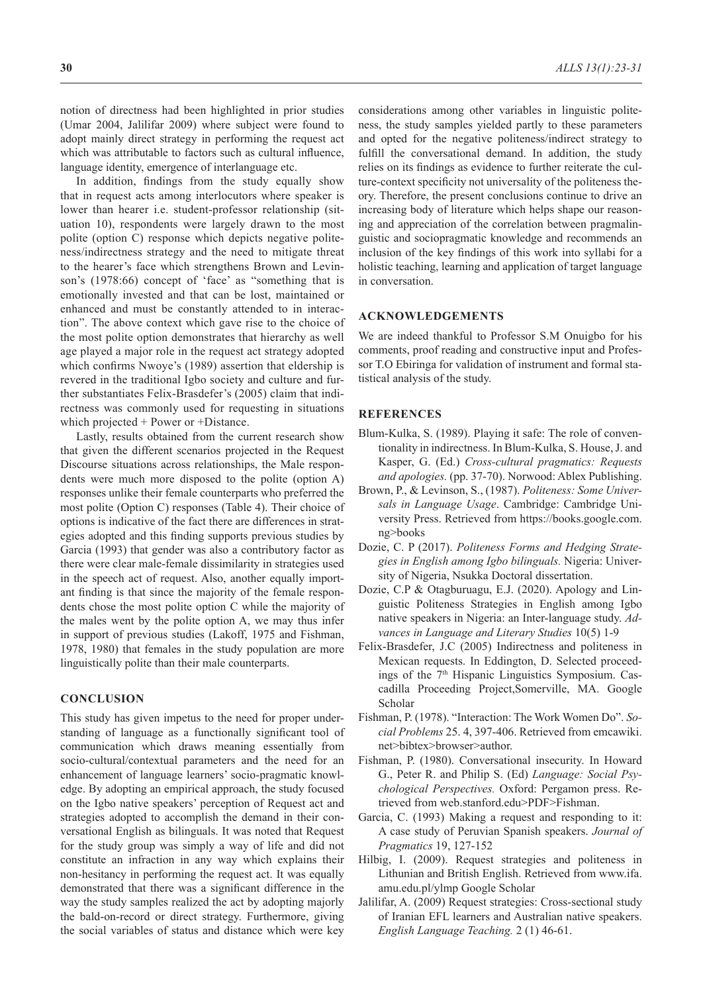notion of directness had been highlighted in prior studies (Umar 2004, Jalilifar 2009) where subject were found to adopt mainly direct strategy in performing the request act which was attributable to factors such as cultural influence, language identity, emergence of interlanguage etc.

In addition, findings from the study equally show that in request acts among interlocutors where speaker is lower than hearer i.e. student-professor relationship (situation 10), respondents were largely drawn to the most polite (option C) response which depicts negative politeness/indirectness strategy and the need to mitigate threat to the hearer's face which strengthens Brown and Levinson's (1978:66) concept of 'face' as "something that is emotionally invested and that can be lost, maintained or enhanced and must be constantly attended to in interaction". The above context which gave rise to the choice of the most polite option demonstrates that hierarchy as well age played a major role in the request act strategy adopted which confirms Nwoye's (1989) assertion that eldership is revered in the traditional Igbo society and culture and further substantiates Felix-Brasdefer's (2005) claim that indirectness was commonly used for requesting in situations which projected + Power or +Distance.

Lastly, results obtained from the current research show that given the different scenarios projected in the Request Discourse situations across relationships, the Male respondents were much more disposed to the polite (option A) responses unlike their female counterparts who preferred the most polite (Option C) responses (Table 4). Their choice of options is indicative of the fact there are differences in strategies adopted and this finding supports previous studies by Garcia (1993) that gender was also a contributory factor as there were clear male-female dissimilarity in strategies used in the speech act of request. Also, another equally important finding is that since the majority of the female respondents chose the most polite option C while the majority of the males went by the polite option A, we may thus infer in support of previous studies (Lakoff, 1975 and Fishman, 1978, 1980) that females in the study population are more linguistically polite than their male counterparts.

#### **CONCLUSION**

This study has given impetus to the need for proper understanding of language as a functionally significant tool of communication which draws meaning essentially from socio-cultural/contextual parameters and the need for an enhancement of language learners' socio-pragmatic knowledge. By adopting an empirical approach, the study focused on the Igbo native speakers' perception of Request act and strategies adopted to accomplish the demand in their conversational English as bilinguals. It was noted that Request for the study group was simply a way of life and did not constitute an infraction in any way which explains their non-hesitancy in performing the request act. It was equally demonstrated that there was a significant difference in the way the study samples realized the act by adopting majorly the bald-on-record or direct strategy. Furthermore, giving the social variables of status and distance which were key

considerations among other variables in linguistic politeness, the study samples yielded partly to these parameters and opted for the negative politeness/indirect strategy to fulfill the conversational demand. In addition, the study relies on its findings as evidence to further reiterate the culture-context specificity not universality of the politeness theory. Therefore, the present conclusions continue to drive an increasing body of literature which helps shape our reasoning and appreciation of the correlation between pragmalinguistic and sociopragmatic knowledge and recommends an inclusion of the key findings of this work into syllabi for a holistic teaching, learning and application of target language in conversation.

## **ACKNOWLEDGEMENTS**

We are indeed thankful to Professor S.M Onuigbo for his comments, proof reading and constructive input and Professor T.O Ebiringa for validation of instrument and formal statistical analysis of the study.

## **REFERENCES**

- Blum-Kulka, S. (1989). Playing it safe: The role of conventionality in indirectness. In Blum-Kulka, S. House, J. and Kasper, G. (Ed.) *Cross-cultural pragmatics: Requests and apologies.* (pp. 37-70). Norwood: Ablex Publishing.
- Brown, P., & Levinson, S., (1987). *Politeness: Some Universals in Language Usage*. Cambridge: Cambridge University Press. Retrieved from https://books.google.com. ng>books
- Dozie, C. P (2017). *Politeness Forms and Hedging Strategies in English among Igbo bilinguals.* Nigeria: University of Nigeria, Nsukka Doctoral dissertation.
- Dozie, C.P & Otagburuagu, E.J. (2020). Apology and Linguistic Politeness Strategies in English among Igbo native speakers in Nigeria: an Inter-language study. *Advances in Language and Literary Studies* 10(5) 1-9
- Felix-Brasdefer, J.C (2005) Indirectness and politeness in Mexican requests. In Eddington, D. Selected proceedings of the 7<sup>th</sup> Hispanic Linguistics Symposium. Cascadilla Proceeding Project,Somerville, MA. Google Scholar
- Fishman, P. (1978). "Interaction: The Work Women Do". *Social Problems* 25. 4, 397-406. Retrieved from emcawiki. net>bibtex>browser>author.
- Fishman, P. (1980). Conversational insecurity. In Howard G., Peter R. and Philip S. (Ed) *Language: Social Psychological Perspectives.* Oxford: Pergamon press. Retrieved from web.stanford.edu>PDF>Fishman.
- Garcia, C. (1993) Making a request and responding to it: A case study of Peruvian Spanish speakers. *Journal of Pragmatics* 19, 127-152
- Hilbig, I. (2009). Request strategies and politeness in Lithunian and British English. Retrieved from www.ifa. amu.edu.pl/ylmp Google Scholar
- Jalilifar, A. (2009) Request strategies: Cross-sectional study of Iranian EFL learners and Australian native speakers. *English Language Teaching.* 2 (1) 46-61.